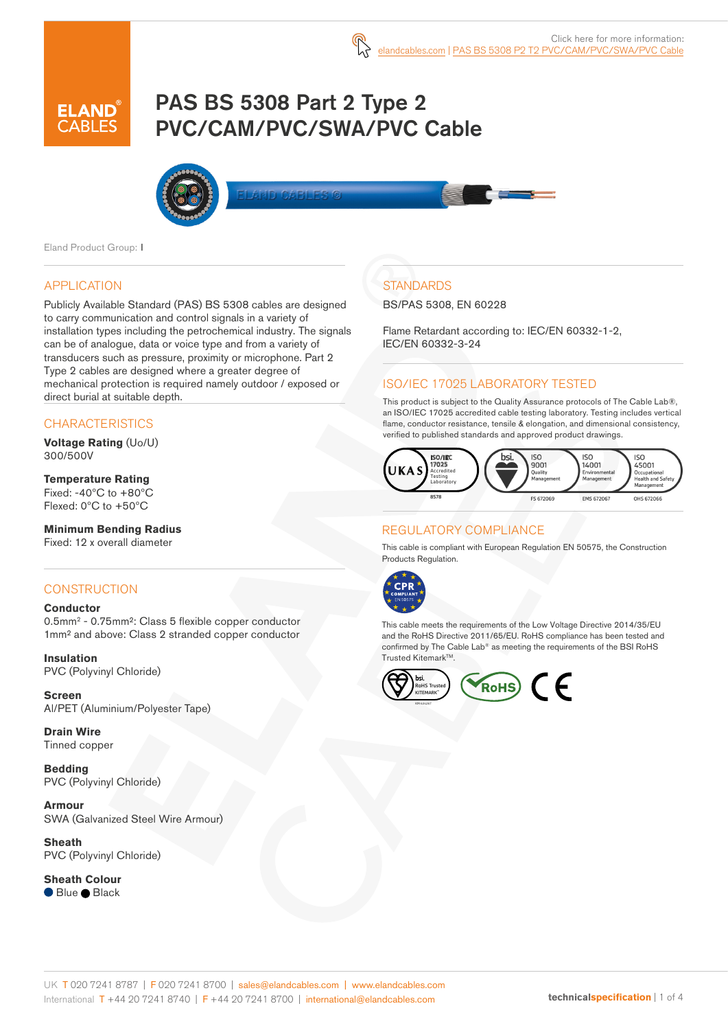# PAS BS 5308 Part 2 Type 2 PVC/CAM/PVC/SWA/PVC Cable



Eland Product Group: I

## APPLICATION

Publicly Available Standard (PAS) BS 5308 cables are designed to carry communication and control signals in a variety of installation types including the petrochemical industry. The signals can be of analogue, data or voice type and from a variety of transducers such as pressure, proximity or microphone. Part 2 Type 2 cables are designed where a greater degree of mechanical protection is required namely outdoor / exposed or direct burial at suitable depth.

## **CHARACTERISTICS**

**Voltage Rating** (Uo/U) 300/500V

### **Temperature Rating**

Fixed:  $-40^{\circ}$ C to  $+80^{\circ}$ C Flexed: 0ºC to +50ºC

### **Minimum Bending Radius**

Fixed: 12 x overall diameter

### **CONSTRUCTION**

#### **Conductor**

0.5mm2 - 0.75mm²: Class 5 flexible copper conductor 1mm² and above: Class 2 stranded copper conductor

**Insulation** PVC (Polyvinyl Chloride)

**Screen** Al/PET (Aluminium/Polyester Tape)

**Drain Wire** Tinned copper

**Bedding** PVC (Polyvinyl Chloride)

**Armour** SWA (Galvanized Steel Wire Armour)

**Sheath** PVC (Polyvinyl Chloride)

**Sheath Colour** ● Blue ● Black

# **STANDARDS**

BS/PAS 5308, EN 60228

Flame Retardant according to: IEC/EN 60332-1-2, IEC/EN 60332-3-24

# ISO/IEC 17025 LABORATORY TESTED

This product is subject to the Quality Assurance protocols of The Cable Lab®, an ISO/IEC 17025 accredited cable testing laboratory. Testing includes vertical flame, conductor resistance, tensile & elongation, and dimensional consistency, verified to published standards and approved product drawings.



### REGULATORY COMPLIANCE

This cable is compliant with European Regulation EN 50575, the Construction Products Regulation.



This cable meets the requirements of the Low Voltage Directive 2014/35/EU and the RoHS Directive 2011/65/EU. RoHS compliance has been tested and confirmed by The Cable Lab® as meeting the requirements of the BSI RoHS Trusted Kitemark™.

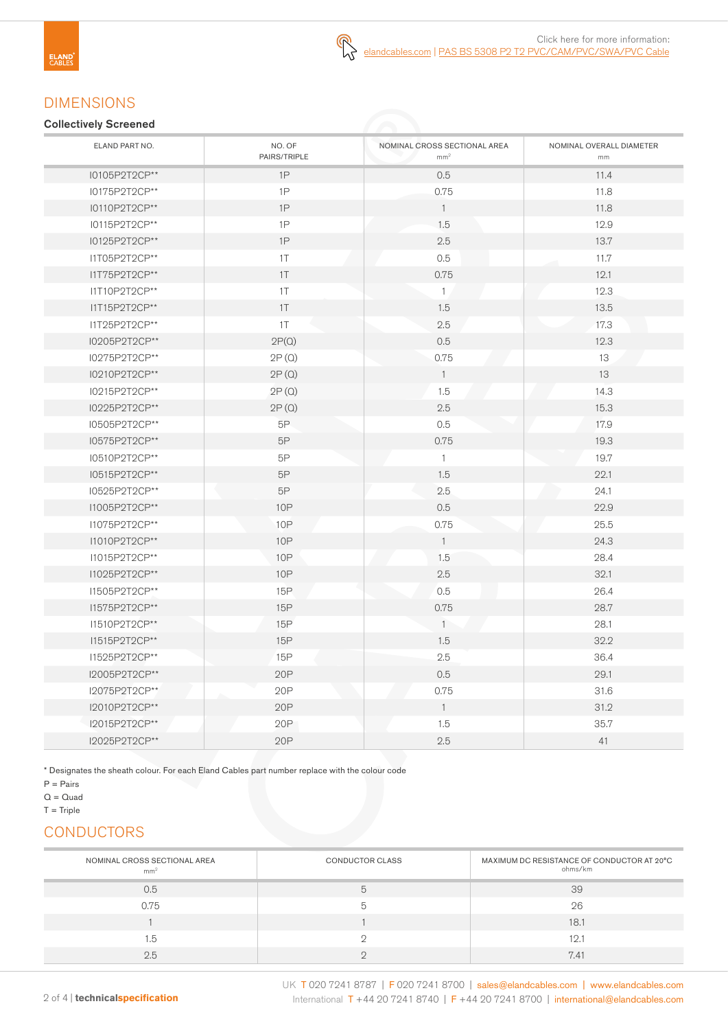# DIMENSIONS

#### Collectively Screened

| ELAND PART NO. | NO. OF<br>PAIRS/TRIPLE | NOMINAL CROSS SECTIONAL AREA<br>mm <sup>2</sup> | NOMINAL OVERALL DIAMETER<br>mm |
|----------------|------------------------|-------------------------------------------------|--------------------------------|
| I0105P2T2CP**  | 1P                     | 0.5                                             | 11.4                           |
| I0175P2T2CP**  | 1P                     | 0.75                                            | 11.8                           |
| I0110P2T2CP**  | 1P                     | $\overline{1}$                                  | 11.8                           |
| I0115P2T2CP**  | 1P                     | 1.5                                             | 12.9                           |
| I0125P2T2CP**  | $1\mathsf{P}$          | 2.5                                             | 13.7                           |
| I1T05P2T2CP**  | 1T                     | 0.5                                             | 11.7                           |
| I1T75P2T2CP**  | 1T                     | 0.75                                            | 12.1                           |
| I1T10P2T2CP**  | 1T                     | $\mathbf{1}$                                    | 12.3                           |
| I1T15P2T2CP**  | 1T                     | 1.5                                             | 13.5                           |
| I1T25P2T2CP**  | 1T                     | 2.5                                             | 17.3                           |
| I0205P2T2CP**  | 2P(Q)                  | 0.5                                             | 12.3                           |
| I0275P2T2CP**  | 2P(Q)                  | 0.75                                            | 13                             |
| I0210P2T2CP**  | 2P(Q)                  | $\overline{1}$                                  | 13                             |
| I0215P2T2CP**  | 2P(Q)                  | 1.5                                             | 14.3                           |
| I0225P2T2CP**  | 2P(Q)                  | 2.5                                             | 15.3                           |
| I0505P2T2CP**  | 5P                     | 0.5                                             | 17.9                           |
| I0575P2T2CP**  | $5\mathsf{P}$          | 0.75                                            | 19.3                           |
| I0510P2T2CP**  | $5\mathsf{P}$          | $\mathbf{1}$                                    | 19.7                           |
| I0515P2T2CP**  | 5P                     | 1.5                                             | 22.1                           |
| 10525P2T2CP**  | $5\mathsf{P}$          | 2.5                                             | 24.1                           |
| I1005P2T2CP**  | 10P                    | 0.5                                             | 22.9                           |
| I1075P2T2CP**  | 10P                    | 0.75                                            | 25.5                           |
| I1010P2T2CP**  | <b>10P</b>             | $\overline{1}$                                  | 24.3                           |
| I1015P2T2CP**  | <b>10P</b>             | 1.5                                             | 28.4                           |
| I1025P2T2CP**  | <b>10P</b>             | $2.5\,$                                         | 32.1                           |
| I1505P2T2CP**  | 15P                    | 0.5                                             | 26.4                           |
| I1575P2T2CP**  | 15P                    | 0.75                                            | 28.7                           |
| 11510P2T2CP**  | 15P                    | $\mathbf{1}$                                    | 28.1                           |
| I1515P2T2CP**  | 15P                    | 1.5                                             | 32.2                           |
| I1525P2T2CP**  | 15P                    | 2.5                                             | 36.4                           |
| I2005P2T2CP**  | 20P                    | 0.5                                             | 29.1                           |
| I2075P2T2CP**  | 20P                    | 0.75                                            | 31.6                           |
| I2010P2T2CP**  | 20P                    | $\overline{1}$                                  | 31.2                           |
| I2015P2T2CP**  | 20P                    | 1.5                                             | 35.7                           |
| I2025P2T2CP**  | 20P                    | 2.5                                             | 41                             |

\* Designates the sheath colour. For each Eland Cables part number replace with the colour code

 $T =$ Triple

# **CONDUCTORS**

| NOMINAL CROSS SECTIONAL AREA<br>mm <sup>2</sup> | <b>CONDUCTOR CLASS</b> | MAXIMUM DC RESISTANCE OF CONDUCTOR AT 20°C<br>ohms/km |
|-------------------------------------------------|------------------------|-------------------------------------------------------|
| 0.5                                             |                        | 39                                                    |
| 0.75                                            |                        | 26                                                    |
|                                                 |                        | 18.1                                                  |
| 1.5                                             |                        | 12.1                                                  |
| 2.5                                             |                        | 7.41                                                  |

 $P = \text{Pairs}$ 

 $Q = Quad$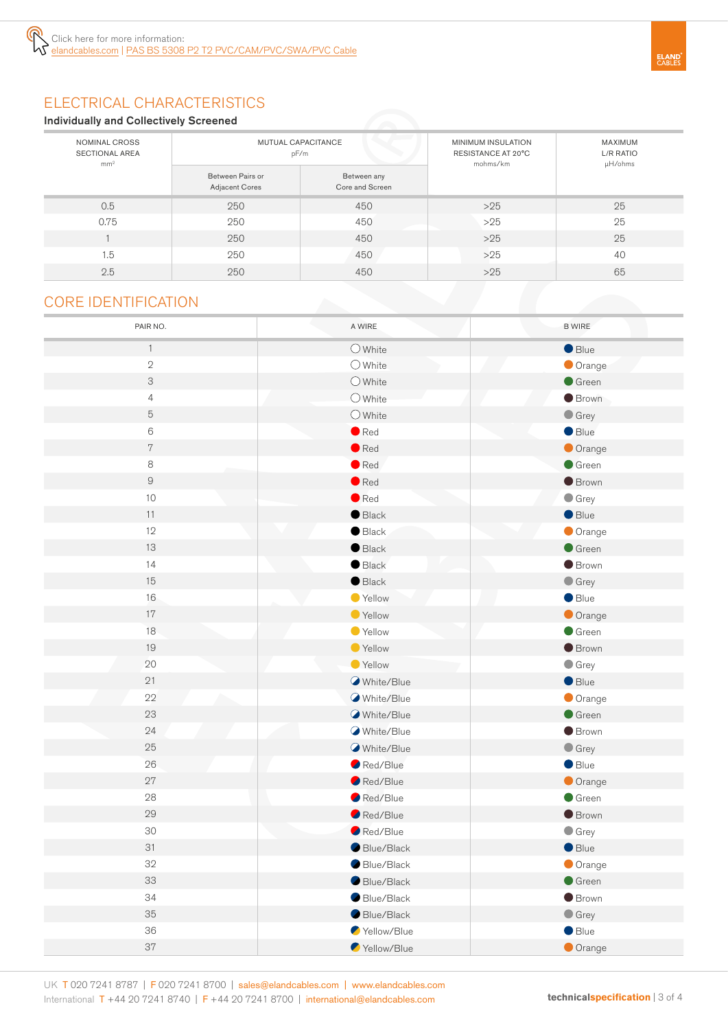# ELECTRICAL CHARACTERISTICS

#### Individually and Collectively Screened

| NOMINAL CROSS<br><b>SECTIONAL AREA</b><br>mm <sup>2</sup> |                                    | MUTUAL CAPACITANCE<br>pF/m     | MINIMUM INSULATION<br>RESISTANCE AT 20°C<br>mohms/km | MAXIMUM<br>L/R RATIO<br>µH/ohms |
|-----------------------------------------------------------|------------------------------------|--------------------------------|------------------------------------------------------|---------------------------------|
|                                                           | Between Pairs or<br>Adjacent Cores | Between any<br>Core and Screen |                                                      |                                 |
| 0.5                                                       | 250                                | 450                            | $>25$                                                | 25                              |
| 0.75                                                      | 250                                | 450                            | $>25$                                                | 25                              |
|                                                           | 250                                | 450                            | $>25$                                                | 25                              |
| 1.5                                                       | 250                                | 450                            | $>25$                                                | 40                              |
| 2.5                                                       | 250                                | 450                            | $>25$                                                | 65                              |

# CORE IDENTIFICATION

| PAIR NO.       | A WIRE           | <b>B WIRE</b>   |
|----------------|------------------|-----------------|
| $\mathbf{1}$   | $\bigcirc$ White | $\bullet$ Blue  |
| $\mathbf{2}$   | $O$ White        | Orange          |
| 3              | $\bigcirc$ White | $\bullet$ Green |
| $\overline{4}$ | $O$ White        | <b>Brown</b>    |
| $\mathbf 5$    | $\bigcirc$ White | $\bullet$ Grey  |
| $\,6$          | $\bullet$ Red    | Blue            |
| $\,7$          | $\bullet$ Red    | Orange          |
| 8              | $\bullet$ Red    | Green           |
| $\mathsf{9}$   | $\bullet$ Red    | <b>Brown</b>    |
| $10$           | $\bullet$ Red    | $\bullet$ Grey  |
| 11             | $\bullet$ Black  | Blue            |
| 12             | $\bullet$ Black  | Orange          |
| 13             | $\bullet$ Black  | Green           |
| 14             | $\bullet$ Black  | <b>Brown</b>    |
| 15             | $\bullet$ Black  | $\bullet$ Grey  |
| 16             | Yellow           | $\bullet$ Blue  |
| 17             | ● Yellow         | Orange          |
| 18             | ● Yellow         | $\bullet$ Green |
| 19             | ● Yellow         | <b>Brown</b>    |
| 20             | ● Yellow         | $\bullet$ Grey  |
| 21             | White/Blue       | Blue            |
| 22             | White/Blue       | Orange          |
| 23             | White/Blue       | Green           |
| 24             | White/Blue       | <b>Brown</b>    |
| 25             | White/Blue       | $\bullet$ Grey  |
| 26             | Red/Blue         | $\bullet$ Blue  |
| 27             | Red/Blue         | Orange          |
| 28             | Red/Blue         | $\bullet$ Green |
| 29             | Red/Blue         | <b>Brown</b>    |
| 30             | Red/Blue         | $\bullet$ Grey  |
| 31             | Blue/Black       | Blue            |
| 32             | Blue/Black       | Orange          |
| 33             | Blue/Black       | $\bullet$ Green |
| 34             | Blue/Black       | <b>Brown</b>    |
| 35             | Blue/Black       | $\bullet$ Grey  |
| 36             | Yellow/Blue      | $\bullet$ Blue  |
| 37             | Yellow/Blue      | Orange          |

UK T 020 7241 8787 | F 020 7241 8700 | sales@elandcables.com | www.elandcables.com International T +44 20 7241 8740 | F +44 20 7241 8700 | international@elandcables.com